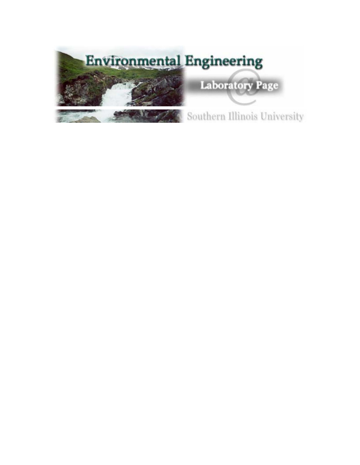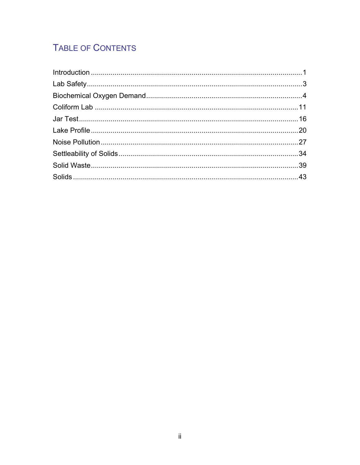# TABLE OF CONTENTS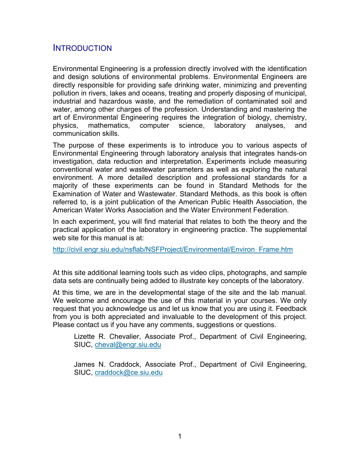# **INTRODUCTION**

Environmental Engineering is a profession directly involved with the identification and design solutions of environmental problems. Environmental Engineers are directly responsible for providing safe drinking water, minimizing and preventing pollution in rivers, lakes and oceans, treating and properly disposing of municipal, industrial and hazardous waste, and the remediation of contaminated soil and water, among other charges of the profession. Understanding and mastering the art of Environmental Engineering requires the integration of biology, chemistry, physics, mathematics, computer science, laboratory analyses, and communication skills.

The purpose of these experiments is to introduce you to various aspects of Environmental Engineering through laboratory analysis that integrates hands-on investigation, data reduction and interpretation. Experiments include measuring conventional water and wastewater parameters as well as exploring the natural environment. A more detailed description and professional standards for a majority of these experiments can be found in Standard Methods for the Examination of Water and Wastewater. Standard Methods, as this book is often referred to, is a joint publication of the American Public Health Association, the American Water Works Association and the Water Environment Federation.

In each experiment, you will find material that relates to both the theory and the practical application of the laboratory in engineering practice. The supplemental web site for this manual is at:

http://civil.engr.siu.edu/nsflab/NSFProject/Environmental/Environ\_Frame.htm

At this site additional learning tools such as video clips, photographs, and sample data sets are continually being added to illustrate key concepts of the laboratory.

At this time, we are in the developmental stage of the site and the lab manual. We welcome and encourage the use of this material in your courses. We only request that you acknowledge us and let us know that you are using it. Feedback from you is both appreciated and invaluable to the development of this project. Please contact us if you have any comments, suggestions or questions.

Lizette R. Chevalier, Associate Prof., Department of Civil Engineering, SIUC, cheval@engr.siu.edu

James N. Craddock, Associate Prof., Department of Civil Engineering, SIUC, craddock@ce.siu.edu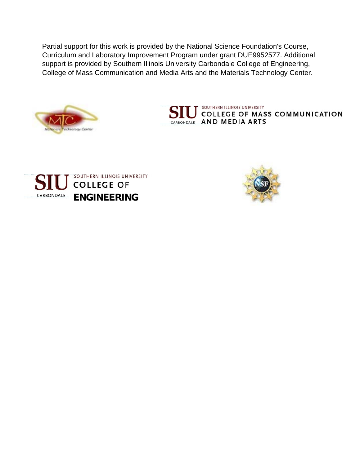Partial support for this work is provided by the National Science Foundation's Course, Curriculum and Laboratory Improvement Program under grant DUE9952577. Additional support is provided by Southern Illinois University Carbondale College of Engineering, College of Mass Communication and Media Arts and the Materials Technology Center.







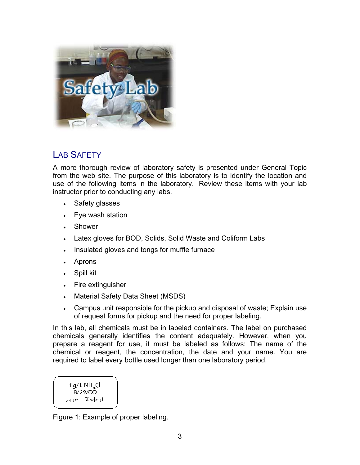

# LAB SAFFTY

A more thorough review of laboratory safety is presented under General Topic from the web site. The purpose of this laboratory is to identify the location and use of the following items in the laboratory. Review these items with your lab instructor prior to conducting any labs.

- Safety glasses
- Eye wash station
- Shower
- Latex gloves for BOD, Solids, Solid Waste and Coliform Labs
- Insulated gloves and tongs for muffle furnace
- Aprons
- Spill kit
- Fire extinguisher
- Material Safety Data Sheet (MSDS)
- Campus unit responsible for the pickup and disposal of waste; Explain use of request forms for pickup and the need for proper labeling.

In this lab, all chemicals must be in labeled containers. The label on purchased chemicals generally identifies the content adequately. However, when you prepare a reagent for use, it must be labeled as follows: The name of the chemical or reagent, the concentration, the date and your name. You are required to label every bottle used longer than one laboratory period.

 $1q/LNH_ACl$ 8/29/00 Jane L. Student

Figure 1: Example of proper labeling.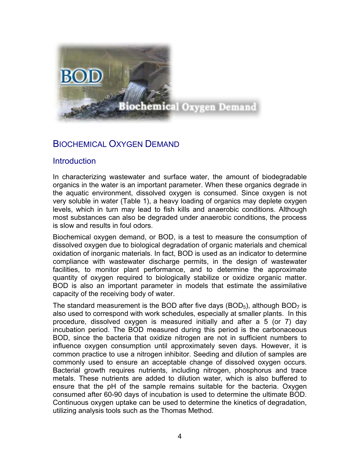

# BIOCHEMICAL OXYGEN DEMAND

### **Introduction**

In characterizing wastewater and surface water, the amount of biodegradable organics in the water is an important parameter. When these organics degrade in the aquatic environment, dissolved oxygen is consumed. Since oxygen is not very soluble in water (Table 1), a heavy loading of organics may deplete oxygen levels, which in turn may lead to fish kills and anaerobic conditions. Although most substances can also be degraded under anaerobic conditions, the process is slow and results in foul odors.

Biochemical oxygen demand, or BOD, is a test to measure the consumption of dissolved oxygen due to biological degradation of organic materials and chemical oxidation of inorganic materials. In fact, BOD is used as an indicator to determine compliance with wastewater discharge permits, in the design of wastewater facilities, to monitor plant performance, and to determine the approximate quantity of oxygen required to biologically stabilize or oxidize organic matter. BOD is also an important parameter in models that estimate the assimilative capacity of the receiving body of water.

The standard measurement is the BOD after five days (BOD<sub>5</sub>), although BOD<sub>7</sub> is also used to correspond with work schedules, especially at smaller plants. In this procedure, dissolved oxygen is measured initially and after a 5 (or 7) day incubation period. The BOD measured during this period is the carbonaceous BOD, since the bacteria that oxidize nitrogen are not in sufficient numbers to influence oxygen consumption until approximately seven days. However, it is common practice to use a nitrogen inhibitor. Seeding and dilution of samples are commonly used to ensure an acceptable change of dissolved oxygen occurs. Bacterial growth requires nutrients, including nitrogen, phosphorus and trace metals. These nutrients are added to dilution water, which is also buffered to ensure that the pH of the sample remains suitable for the bacteria. Oxygen consumed after 60-90 days of incubation is used to determine the ultimate BOD. Continuous oxygen uptake can be used to determine the kinetics of degradation, utilizing analysis tools such as the Thomas Method.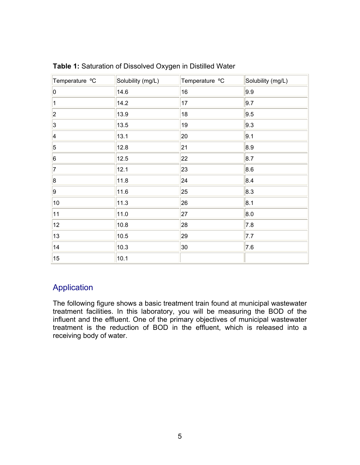| Temperature °C | Solubility (mg/L) | Temperature °C | Solubility (mg/L) |
|----------------|-------------------|----------------|-------------------|
| 0              | 14.6              | 16             | 9.9               |
| 1              | 14.2              | 17             | 9.7               |
| 2              | 13.9              | 18             | 9.5               |
| 3              | 13.5              | 19             | 9.3               |
| 4              | 13.1              | 20             | 9.1               |
| $\vert$ 5      | 12.8              | 21             | 8.9               |
| 6              | 12.5              | 22             | 8.7               |
| 7              | 12.1              | 23             | 8.6               |
| 8              | 11.8              | 24             | 8.4               |
| 9              | 11.6              | 25             | 8.3               |
| $10\,$         | 11.3              | 26             | 8.1               |
| 11             | 11.0              | 27             | 8.0               |
| 12             | 10.8              | 28             | 7.8               |
| 13             | 10.5              | 29             | 7.7               |
| 14             | 10.3              | 30             | 7.6               |
| 15             | 10.1              |                |                   |

**Table 1:** Saturation of Dissolved Oxygen in Distilled Water

### Application

The following figure shows a basic treatment train found at municipal wastewater treatment facilities. In this laboratory, you will be measuring the BOD of the influent and the effluent. One of the primary objectives of municipal wastewater treatment is the reduction of BOD in the effluent, which is released into a receiving body of water.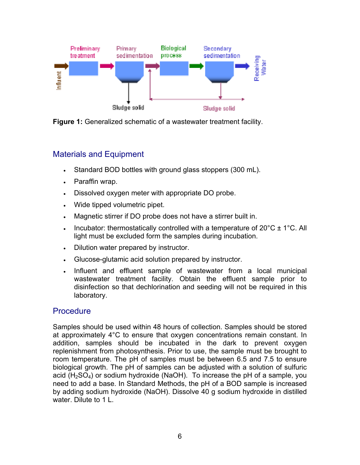

**Figure 1:** Generalized schematic of a wastewater treatment facility.

### Materials and Equipment

- Standard BOD bottles with ground glass stoppers (300 mL).
- Paraffin wrap.
- Dissolved oxygen meter with appropriate DO probe.
- Wide tipped volumetric pipet.
- Magnetic stirrer if DO probe does not have a stirrer built in.
- Incubator: thermostatically controlled with a temperature of  $20^{\circ}$ C  $\pm$  1<sup>o</sup>C. All light must be excluded form the samples during incubation.
- Dilution water prepared by instructor.
- Glucose-glutamic acid solution prepared by instructor.
- Influent and effluent sample of wastewater from a local municipal wastewater treatment facility. Obtain the effluent sample prior to disinfection so that dechlorination and seeding will not be required in this laboratory.

### **Procedure**

Samples should be used within 48 hours of collection. Samples should be stored at approximately 4°C to ensure that oxygen concentrations remain constant. In addition, samples should be incubated in the dark to prevent oxygen replenishment from photosynthesis. Prior to use, the sample must be brought to room temperature. The pH of samples must be between 6.5 and 7.5 to ensure biological growth. The pH of samples can be adjusted with a solution of sulfuric acid ( $H<sub>2</sub>SO<sub>4</sub>$ ) or sodium hydroxide (NaOH). To increase the pH of a sample, you need to add a base. In Standard Methods, the pH of a BOD sample is increased by adding sodium hydroxide (NaOH). Dissolve 40 g sodium hydroxide in distilled water. Dilute to 1 L.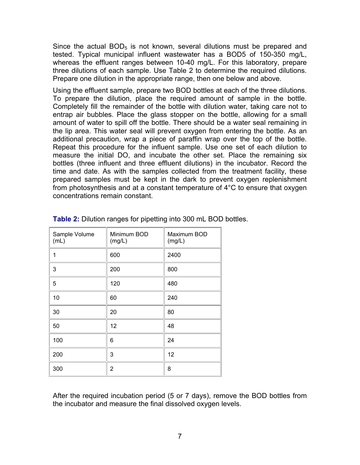Since the actual  $BOD<sub>5</sub>$  is not known, several dilutions must be prepared and tested. Typical municipal influent wastewater has a BOD5 of 150-350 mg/L, whereas the effluent ranges between 10-40 mg/L. For this laboratory, prepare three dilutions of each sample. Use Table 2 to determine the required dilutions. Prepare one dilution in the appropriate range, then one below and above.

Using the effluent sample, prepare two BOD bottles at each of the three dilutions. To prepare the dilution, place the required amount of sample in the bottle. Completely fill the remainder of the bottle with dilution water, taking care not to entrap air bubbles. Place the glass stopper on the bottle, allowing for a small amount of water to spill off the bottle. There should be a water seal remaining in the lip area. This water seal will prevent oxygen from entering the bottle. As an additional precaution, wrap a piece of paraffin wrap over the top of the bottle. Repeat this procedure for the influent sample. Use one set of each dilution to measure the initial DO, and incubate the other set. Place the remaining six bottles (three influent and three effluent dilutions) in the incubator. Record the time and date. As with the samples collected from the treatment facility, these prepared samples must be kept in the dark to prevent oxygen replenishment from photosynthesis and at a constant temperature of 4°C to ensure that oxygen concentrations remain constant.

| Sample Volume<br>(mL) | Minimum BOD<br>(mg/L) | Maximum BOD<br>(mg/L) |
|-----------------------|-----------------------|-----------------------|
| 1                     | 600                   | 2400                  |
| 3                     | 200                   | 800                   |
| 5                     | 120                   | 480                   |
| 10                    | 60                    | 240                   |
| 30                    | 20                    | 80                    |
| 50                    | 12                    | 48                    |
| 100                   | 6                     | 24                    |
| 200                   | 3                     | 12                    |
| 300                   | 2                     | 8                     |

**Table 2:** Dilution ranges for pipetting into 300 mL BOD bottles.

After the required incubation period (5 or 7 days), remove the BOD bottles from the incubator and measure the final dissolved oxygen levels.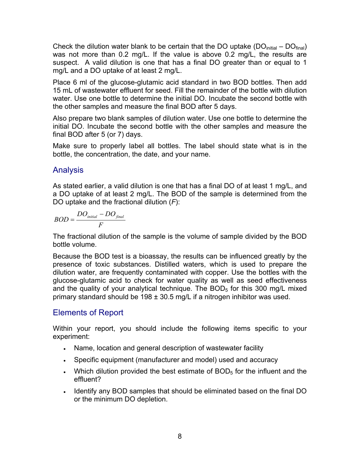Check the dilution water blank to be certain that the DO uptake ( $DO<sub>initial</sub> - DO<sub>final</sub>$ ) was not more than 0.2 mg/L. If the value is above 0.2 mg/L, the results are suspect. A valid dilution is one that has a final DO greater than or equal to 1 mg/L and a DO uptake of at least 2 mg/L.

Place 6 ml of the glucose-glutamic acid standard in two BOD bottles. Then add 15 mL of wastewater effluent for seed. Fill the remainder of the bottle with dilution water. Use one bottle to determine the initial DO. Incubate the second bottle with the other samples and measure the final BOD after 5 days.

Also prepare two blank samples of dilution water. Use one bottle to determine the initial DO. Incubate the second bottle with the other samples and measure the final BOD after 5 (or 7) days.

Make sure to properly label all bottles. The label should state what is in the bottle, the concentration, the date, and your name.

### Analysis

As stated earlier, a valid dilution is one that has a final DO of at least 1 mg/L, and a DO uptake of at least 2 mg/L. The BOD of the sample is determined from the DO uptake and the fractional dilution (*F*):

$$
BOD = \frac{DO_{initial} - DO_{final}}{F}
$$

The fractional dilution of the sample is the volume of sample divided by the BOD bottle volume.

Because the BOD test is a bioassay, the results can be influenced greatly by the presence of toxic substances. Distilled waters, which is used to prepare the dilution water, are frequently contaminated with copper. Use the bottles with the glucose-glutamic acid to check for water quality as well as seed effectiveness and the quality of your analytical technique. The  $BOD<sub>5</sub>$  for this 300 mg/L mixed primary standard should be  $198 \pm 30.5$  mg/L if a nitrogen inhibitor was used.

### Elements of Report

Within your report, you should include the following items specific to your experiment:

- Name, location and general description of wastewater facility
- Specific equipment (manufacturer and model) used and accuracy
- Which dilution provided the best estimate of  $BOD<sub>5</sub>$  for the influent and the effluent?
- Identify any BOD samples that should be eliminated based on the final DO or the minimum DO depletion.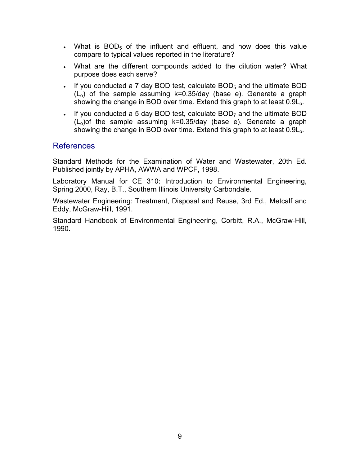- What is  $BOD_5$  of the influent and effluent, and how does this value compare to typical values reported in the literature?
- What are the different compounds added to the dilution water? What purpose does each serve?
- If you conducted a 7 day BOD test, calculate  $BOD<sub>5</sub>$  and the ultimate BOD  $(L<sub>o</sub>)$  of the sample assuming  $k=0.35$ /day (base e). Generate a graph showing the change in BOD over time. Extend this graph to at least 0.9L<sub>o</sub>.
- If you conducted a 5 day BOD test, calculate  $BOD<sub>7</sub>$  and the ultimate BOD  $(L<sub>0</sub>)$  of the sample assuming k=0.35/day (base e). Generate a graph showing the change in BOD over time. Extend this graph to at least 0.9L<sub>o</sub>.

### References

Standard Methods for the Examination of Water and Wastewater, 20th Ed. Published jointly by APHA, AWWA and WPCF, 1998.

Laboratory Manual for CE 310: Introduction to Environmental Engineering, Spring 2000, Ray, B.T., Southern Illinois University Carbondale.

Wastewater Engineering: Treatment, Disposal and Reuse, 3rd Ed., Metcalf and Eddy, McGraw-Hill, 1991.

Standard Handbook of Environmental Engineering, Corbitt, R.A., McGraw-Hill, 1990.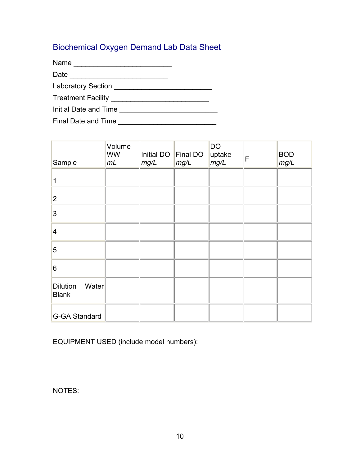# Biochemical Oxygen Demand Lab Data Sheet

Name \_\_\_\_\_\_\_\_\_\_\_\_\_\_\_\_\_\_\_\_\_\_\_\_\_

Date \_\_\_\_\_\_\_\_\_\_\_\_\_\_\_\_\_\_\_\_\_\_\_\_\_

Laboratory Section \_\_\_\_\_\_\_\_\_\_\_\_\_\_\_\_\_\_\_\_\_\_\_\_\_

Treatment Facility \_\_\_\_\_\_\_\_\_\_\_\_\_\_\_\_\_\_\_\_\_\_\_\_\_

| Initial Date and Time |  |
|-----------------------|--|
|-----------------------|--|

Final Date and Time \_\_\_\_\_\_\_\_\_\_\_\_\_\_\_\_\_\_\_\_\_\_\_\_\_

| Sample                                   | Volume<br><b>WW</b><br>mL | Initial DO<br>mg/L | Final DO<br>mg/L | <b>DO</b><br>uptake<br>mg/L | F | <b>BOD</b><br>mg/L |
|------------------------------------------|---------------------------|--------------------|------------------|-----------------------------|---|--------------------|
| 1                                        |                           |                    |                  |                             |   |                    |
| $\overline{2}$                           |                           |                    |                  |                             |   |                    |
| 3                                        |                           |                    |                  |                             |   |                    |
| $\overline{\mathbf{4}}$                  |                           |                    |                  |                             |   |                    |
| 5                                        |                           |                    |                  |                             |   |                    |
| 6                                        |                           |                    |                  |                             |   |                    |
| <b>Dilution</b><br>Water<br><b>Blank</b> |                           |                    |                  |                             |   |                    |
| G-GA Standard                            |                           |                    |                  |                             |   |                    |

EQUIPMENT USED (include model numbers):

NOTES: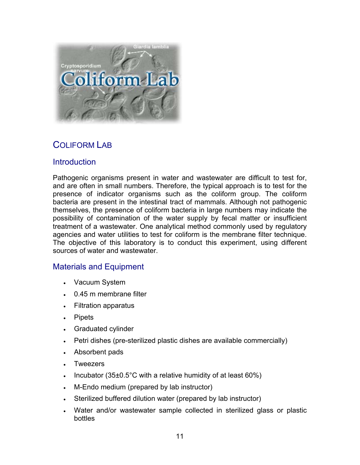

# COLIFORM LAB

### **Introduction**

Pathogenic organisms present in water and wastewater are difficult to test for, and are often in small numbers. Therefore, the typical approach is to test for the presence of indicator organisms such as the coliform group. The coliform bacteria are present in the intestinal tract of mammals. Although not pathogenic themselves, the presence of coliform bacteria in large numbers may indicate the possibility of contamination of the water supply by fecal matter or insufficient treatment of a wastewater. One analytical method commonly used by regulatory agencies and water utilities to test for coliform is the membrane filter technique. The objective of this laboratory is to conduct this experiment, using different sources of water and wastewater.

### Materials and Equipment

- Vacuum System
- 0.45 m membrane filter
- Filtration apparatus
- Pipets
- Graduated cylinder
- Petri dishes (pre-sterilized plastic dishes are available commercially)
- Absorbent pads
- Tweezers
- Incubator (35 $\pm$ 0.5°C with a relative humidity of at least 60%)
- M-Endo medium (prepared by lab instructor)
- Sterilized buffered dilution water (prepared by lab instructor)
- Water and/or wastewater sample collected in sterilized glass or plastic bottles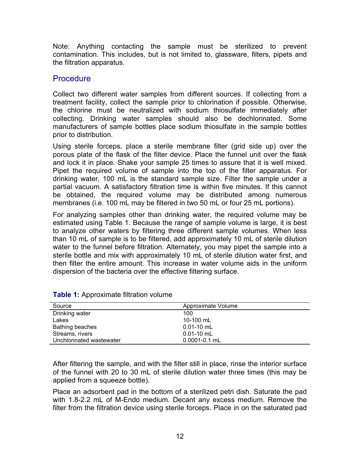Note: Anything contacting the sample must be sterilized to prevent contamination. This includes, but is not limited to, glassware, filters, pipets and the filtration apparatus.

#### **Procedure**

Collect two different water samples from different sources. If collecting from a treatment facility, collect the sample prior to chlorination if possible. Otherwise, the chlorine must be neutralized with sodium thiosulfate immediately after collecting. Drinking water samples should also be dechlorinated. Some manufacturers of sample bottles place sodium thiosulfate in the sample bottles prior to distribution.

Using sterile forceps, place a sterile membrane filter (grid side up) over the porous plate of the flask of the filter device. Place the funnel unit over the flask and lock it in place. Shake your sample 25 times to assure that it is well mixed. Pipet the required volume of sample into the top of the filter apparatus. For drinking water, 100 mL is the standard sample size. Filter the sample under a partial vacuum. A satisfactory filtration time is within five minutes. If this cannot be obtained, the required volume may be distributed among numerous membranes (i.e. 100 mL may be filtered in two 50 mL or four 25 mL portions).

For analyzing samples other than drinking water, the required volume may be estimated using Table 1. Because the range of sample volume is large, it is best to analyze other waters by filtering three different sample volumes. When less than 10 mL of sample is to be filtered, add approximately 10 mL of sterile dilution water to the funnel before filtration. Alternately, you may pipet the sample into a sterile bottle and mix with approximately 10 mL of sterile dilution water first, and then filter the entire amount. This increase in water volume aids in the uniform dispersion of the bacteria over the effective filtering surface.

| Source                   | Approximate Volume |
|--------------------------|--------------------|
| Drinking water           | 100                |
| Lakes                    | 10-100 mL          |
| <b>Bathing beaches</b>   | $0.01 - 10$ mL     |
| Streams, rivers          | $0.01 - 10$ mL     |
| Unchlorinated wastewater | $0.0001 - 0.1$ mL  |

|  | <b>Table 1:</b> Approximate filtration volume |  |  |
|--|-----------------------------------------------|--|--|
|--|-----------------------------------------------|--|--|

After filtering the sample, and with the filter still in place, rinse the interior surface of the funnel with 20 to 30 mL of sterile dilution water three times (this may be applied from a squeeze bottle).

Place an adsorbent pad in the bottom of a sterilized petri dish. Saturate the pad with 1.8-2.2 mL of M-Endo medium. Decant any excess medium. Remove the filter from the filtration device using sterile forceps. Place in on the saturated pad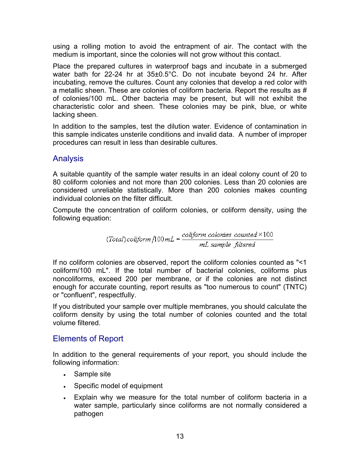using a rolling motion to avoid the entrapment of air. The contact with the medium is important, since the colonies will not grow without this contact.

Place the prepared cultures in waterproof bags and incubate in a submerged water bath for 22-24 hr at 35±0.5°C. Do not incubate beyond 24 hr. After incubating, remove the cultures. Count any colonies that develop a red color with a metallic sheen. These are colonies of coliform bacteria. Report the results as # of colonies/100 mL. Other bacteria may be present, but will not exhibit the characteristic color and sheen. These colonies may be pink, blue, or white lacking sheen.

In addition to the samples, test the dilution water. Evidence of contamination in this sample indicates unsterile conditions and invalid data. A number of improper procedures can result in less than desirable cultures.

### Analysis

A suitable quantity of the sample water results in an ideal colony count of 20 to 80 coliform colonies and not more than 200 colonies. Less than 20 colonies are considered unreliable statistically. More than 200 colonies makes counting individual colonies on the filter difficult.

Compute the concentration of coliform colonies, or coliform density, using the following equation:

(Total)coliform  $100mL = \frac{coliform \space colonies \space counted \times 100}{mL \space sample \space filtered}$ 

If no coliform colonies are observed, report the coliform colonies counted as "<1 coliform/100 mL". If the total number of bacterial colonies, coliforms plus noncoliforms, exceed 200 per membrane, or if the colonies are not distinct enough for accurate counting, report results as "too numerous to count" (TNTC) or "confluent", respectfully.

If you distributed your sample over multiple membranes, you should calculate the coliform density by using the total number of colonies counted and the total volume filtered.

### Elements of Report

In addition to the general requirements of your report, you should include the following information:

- Sample site
- Specific model of equipment
- Explain why we measure for the total number of coliform bacteria in a water sample, particularly since coliforms are not normally considered a pathogen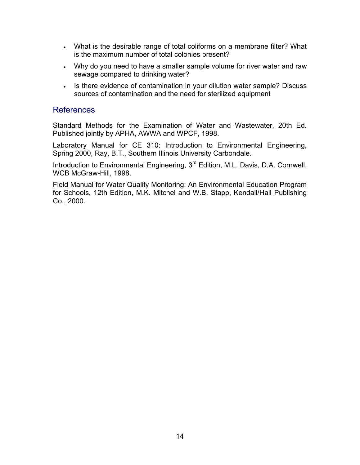- What is the desirable range of total coliforms on a membrane filter? What is the maximum number of total colonies present?
- Why do you need to have a smaller sample volume for river water and raw sewage compared to drinking water?
- Is there evidence of contamination in your dilution water sample? Discuss sources of contamination and the need for sterilized equipment

#### References

Standard Methods for the Examination of Water and Wastewater, 20th Ed. Published jointly by APHA, AWWA and WPCF, 1998.

Laboratory Manual for CE 310: Introduction to Environmental Engineering, Spring 2000, Ray, B.T., Southern Illinois University Carbondale.

Introduction to Environmental Engineering, 3<sup>rd</sup> Edition, M.L. Davis, D.A. Cornwell, WCB McGraw-Hill, 1998.

Field Manual for Water Quality Monitoring: An Environmental Education Program for Schools, 12th Edition, M.K. Mitchel and W.B. Stapp, Kendall/Hall Publishing Co., 2000.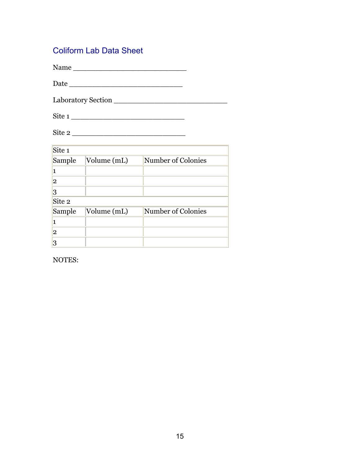# Coliform Lab Data Sheet

Name \_\_\_\_\_\_\_\_\_\_\_\_\_\_\_\_\_\_\_\_\_\_\_\_\_

Date \_\_\_\_\_\_\_\_\_\_\_\_\_\_\_\_\_\_\_\_\_\_\_\_\_

Laboratory Section \_\_\_\_\_\_\_\_\_\_\_\_\_\_\_\_\_\_\_\_\_\_\_\_\_

Site 1 \_\_\_\_\_\_\_\_\_\_\_\_\_\_\_\_\_\_\_\_\_\_\_\_\_

Site 2 \_\_\_\_\_\_\_\_\_\_\_\_\_\_\_\_\_\_\_\_\_\_\_\_\_

| Site <sub>1</sub> |             |                    |  |  |
|-------------------|-------------|--------------------|--|--|
| Sample            | Volume (mL) | Number of Colonies |  |  |
|                   |             |                    |  |  |
| $\mathbf{2}$      |             |                    |  |  |
| 3                 |             |                    |  |  |
| Site 2            |             |                    |  |  |
| Sample            | Volume (mL) | Number of Colonies |  |  |
|                   |             |                    |  |  |
| $\overline{2}$    |             |                    |  |  |
| 3                 |             |                    |  |  |

NOTES: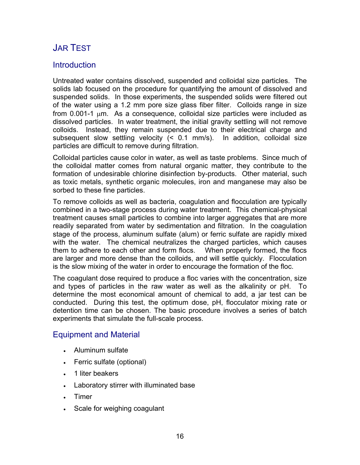# JAR TEST

### **Introduction**

Untreated water contains dissolved, suspended and colloidal size particles. The solids lab focused on the procedure for quantifying the amount of dissolved and suspended solids. In those experiments, the suspended solids were filtered out of the water using a 1.2 mm pore size glass fiber filter. Colloids range in size from  $0.001$ -1  $\mu$ m. As a consequence, colloidal size particles were included as dissolved particles. In water treatment, the initial gravity settling will not remove colloids. Instead, they remain suspended due to their electrical charge and subsequent slow settling velocity (< 0.1 mm/s). In addition, colloidal size particles are difficult to remove during filtration.

Colloidal particles cause color in water, as well as taste problems. Since much of the colloidal matter comes from natural organic matter, they contribute to the formation of undesirable chlorine disinfection by-products. Other material, such as toxic metals, synthetic organic molecules, iron and manganese may also be sorbed to these fine particles.

To remove colloids as well as bacteria, coagulation and flocculation are typically combined in a two-stage process during water treatment. This chemical-physical treatment causes small particles to combine into larger aggregates that are more readily separated from water by sedimentation and filtration. In the coagulation stage of the process, aluminum sulfate (alum) or ferric sulfate are rapidly mixed with the water. The chemical neutralizes the charged particles, which causes them to adhere to each other and form flocs. When properly formed, the flocs are larger and more dense than the colloids, and will settle quickly. Flocculation is the slow mixing of the water in order to encourage the formation of the floc.

The coagulant dose required to produce a floc varies with the concentration, size and types of particles in the raw water as well as the alkalinity or pH. To determine the most economical amount of chemical to add, a jar test can be conducted. During this test, the optimum dose, pH, flocculator mixing rate or detention time can be chosen. The basic procedure involves a series of batch experiments that simulate the full-scale process.

### Equipment and Material

- Aluminum sulfate
- Ferric sulfate (optional)
- 1 liter beakers
- Laboratory stirrer with illuminated base
- **Timer**
- Scale for weighing coagulant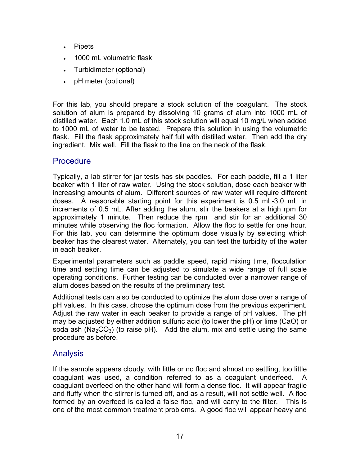- Pipets
- 1000 mL volumetric flask
- Turbidimeter (optional)
- pH meter (optional)

For this lab, you should prepare a stock solution of the coagulant. The stock solution of alum is prepared by dissolving 10 grams of alum into 1000 mL of distilled water. Each 1.0 mL of this stock solution will equal 10 mg/L when added to 1000 mL of water to be tested. Prepare this solution in using the volumetric flask. Fill the flask approximately half full with distilled water. Then add the dry ingredient. Mix well. Fill the flask to the line on the neck of the flask.

### **Procedure**

Typically, a lab stirrer for jar tests has six paddles. For each paddle, fill a 1 liter beaker with 1 liter of raw water. Using the stock solution, dose each beaker with increasing amounts of alum. Different sources of raw water will require different doses. A reasonable starting point for this experiment is 0.5 mL-3.0 mL in increments of 0.5 mL. After adding the alum, stir the beakers at a high rpm for approximately 1 minute. Then reduce the rpm and stir for an additional 30 minutes while observing the floc formation. Allow the floc to settle for one hour. For this lab, you can determine the optimum dose visually by selecting which beaker has the clearest water. Alternately, you can test the turbidity of the water in each beaker.

Experimental parameters such as paddle speed, rapid mixing time, flocculation time and settling time can be adjusted to simulate a wide range of full scale operating conditions. Further testing can be conducted over a narrower range of alum doses based on the results of the preliminary test.

Additional tests can also be conducted to optimize the alum dose over a range of pH values. In this case, choose the optimum dose from the previous experiment. Adjust the raw water in each beaker to provide a range of pH values. The pH may be adjusted by either addition sulfuric acid (to lower the pH) or lime (CaO) or soda ash (Na<sub>2</sub>CO<sub>3</sub>) (to raise pH). Add the alum, mix and settle using the same procedure as before.

### Analysis

If the sample appears cloudy, with little or no floc and almost no settling, too little coagulant was used, a condition referred to as a coagulant underfeed. A coagulant overfeed on the other hand will form a dense floc. It will appear fragile and fluffy when the stirrer is turned off, and as a result, will not settle well. A floc formed by an overfeed is called a false floc, and will carry to the filter. This is one of the most common treatment problems. A good floc will appear heavy and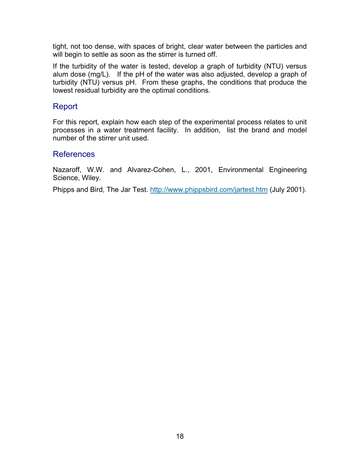tight, not too dense, with spaces of bright, clear water between the particles and will begin to settle as soon as the stirrer is turned off.

If the turbidity of the water is tested, develop a graph of turbidity (NTU) versus alum dose (mg/L). If the pH of the water was also adjusted, develop a graph of turbidity (NTU) versus pH. From these graphs, the conditions that produce the lowest residual turbidity are the optimal conditions.

### Report

For this report, explain how each step of the experimental process relates to unit processes in a water treatment facility. In addition, list the brand and model number of the stirrer unit used.

#### References

Nazaroff, W.W. and Alvarez-Cohen, L., 2001, Environmental Engineering Science, Wiley.

Phipps and Bird, The Jar Test. http://www.phippsbird.com/jartest.htm (July 2001).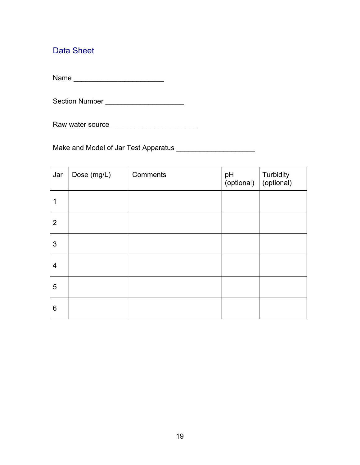# Data Sheet

Name \_\_\_\_\_\_\_\_\_\_\_\_\_\_\_\_\_\_\_\_\_\_\_

Section Number \_\_\_\_\_\_\_\_\_\_\_\_\_\_\_\_\_\_\_\_

Raw water source \_\_\_\_\_\_\_\_\_\_\_\_\_\_\_\_\_\_\_\_\_\_

Make and Model of Jar Test Apparatus \_\_\_\_\_\_\_\_\_\_\_\_\_\_\_\_\_\_\_\_

| Jar            | Dose (mg/L) | Comments | pH<br>(optional) | Turbidity<br>(optional) |
|----------------|-------------|----------|------------------|-------------------------|
| 1              |             |          |                  |                         |
| $\overline{2}$ |             |          |                  |                         |
| 3              |             |          |                  |                         |
| $\overline{4}$ |             |          |                  |                         |
| 5              |             |          |                  |                         |
| 6              |             |          |                  |                         |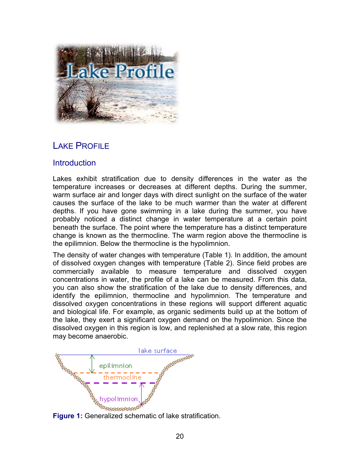

# LAKE PROFILE

### **Introduction**

Lakes exhibit stratification due to density differences in the water as the temperature increases or decreases at different depths. During the summer, warm surface air and longer days with direct sunlight on the surface of the water causes the surface of the lake to be much warmer than the water at different depths. If you have gone swimming in a lake during the summer, you have probably noticed a distinct change in water temperature at a certain point beneath the surface. The point where the temperature has a distinct temperature change is known as the thermocline. The warm region above the thermocline is the epilimnion. Below the thermocline is the hypolimnion.

The density of water changes with temperature (Table 1). In addition, the amount of dissolved oxygen changes with temperature (Table 2). Since field probes are commercially available to measure temperature and dissolved oxygen concentrations in water, the profile of a lake can be measured. From this data, you can also show the stratification of the lake due to density differences, and identify the epilimnion, thermocline and hypolimnion. The temperature and dissolved oxygen concentrations in these regions will support different aquatic and biological life. For example, as organic sediments build up at the bottom of the lake, they exert a significant oxygen demand on the hypolimnion. Since the dissolved oxygen in this region is low, and replenished at a slow rate, this region may become anaerobic.



**Figure 1:** Generalized schematic of lake stratification.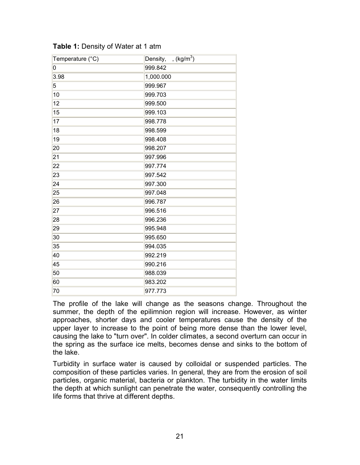| Temperature (°C) | , $(kg/m^3)$<br>Density, |
|------------------|--------------------------|
| 0                | 999.842                  |
| 3.98             | 1,000.000                |
| 5                | 999.967                  |
| 10               | 999.703                  |
| 12               | 999.500                  |
| 15               | 999.103                  |
| 17               | 998.778                  |
| 18               | 998.599                  |
| 19               | 998.408                  |
| 20               | 998.207                  |
| 21               | 997.996                  |
| 22               | 997.774                  |
| 23               | 997.542                  |
| 24               | 997.300                  |
| 25               | 997.048                  |
| 26               | 996.787                  |
| 27               | 996.516                  |
| 28               | 996.236                  |
| 29               | 995.948                  |
| 30               | 995.650                  |
| 35               | 994.035                  |
| 40               | 992.219                  |
| 45               | 990.216                  |
| 50               | 988.039                  |
| 60               | 983.202                  |
| 70               | 977.773                  |

**Table 1: Density of Water at 1 atm** 

The profile of the lake will change as the seasons change. Throughout the summer, the depth of the epilimnion region will increase. However, as winter approaches, shorter days and cooler temperatures cause the density of the upper layer to increase to the point of being more dense than the lower level, causing the lake to "turn over". In colder climates, a second overturn can occur in the spring as the surface ice melts, becomes dense and sinks to the bottom of the lake.

Turbidity in surface water is caused by colloidal or suspended particles. The composition of these particles varies. In general, they are from the erosion of soil particles, organic material, bacteria or plankton. The turbidity in the water limits the depth at which sunlight can penetrate the water, consequently controlling the life forms that thrive at different depths.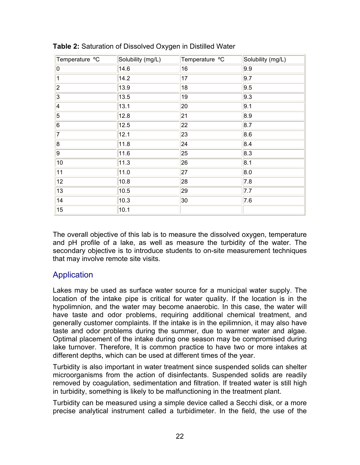| Temperature °C | Solubility (mg/L) | Temperature °C | Solubility (mg/L) |
|----------------|-------------------|----------------|-------------------|
| 0              | 14.6              | 16             | 9.9               |
| 1              | 14.2              | 17             | 9.7               |
| $\overline{2}$ | 13.9              | 18             | 9.5               |
| 3              | 13.5              | 19             | 9.3               |
| 4              | 13.1              | 20             | 9.1               |
| 5              | 12.8              | 21             | 8.9               |
| 6              | 12.5              | 22             | 8.7               |
| 7              | 12.1              | 23             | 8.6               |
| 8              | 11.8              | 24             | 8.4               |
| 9              | 11.6              | 25             | 8.3               |
| $10$           | 11.3              | 26             | 8.1               |
| 11             | 11.0              | 27             | 8.0               |
| 12             | 10.8              | 28             | 7.8               |
| 13             | 10.5              | 29             | 7.7               |
| 14             | 10.3              | 30             | 7.6               |
| 15             | 10.1              |                |                   |

**Table 2:** Saturation of Dissolved Oxygen in Distilled Water

The overall objective of this lab is to measure the dissolved oxygen, temperature and pH profile of a lake, as well as measure the turbidity of the water. The secondary objective is to introduce students to on-site measurement techniques that may involve remote site visits.

### **Application**

Lakes may be used as surface water source for a municipal water supply. The location of the intake pipe is critical for water quality. If the location is in the hypolimnion, and the water may become anaerobic. In this case, the water will have taste and odor problems, requiring additional chemical treatment, and generally customer complaints. If the intake is in the epilimnion, it may also have taste and odor problems during the summer, due to warmer water and algae. Optimal placement of the intake during one season may be compromised during lake turnover. Therefore, It is common practice to have two or more intakes at different depths, which can be used at different times of the year.

Turbidity is also important in water treatment since suspended solids can shelter microorganisms from the action of disinfectants. Suspended solids are readily removed by coagulation, sedimentation and filtration. If treated water is still high in turbidity, something is likely to be malfunctioning in the treatment plant.

Turbidity can be measured using a simple device called a Secchi disk, or a more precise analytical instrument called a turbidimeter. In the field, the use of the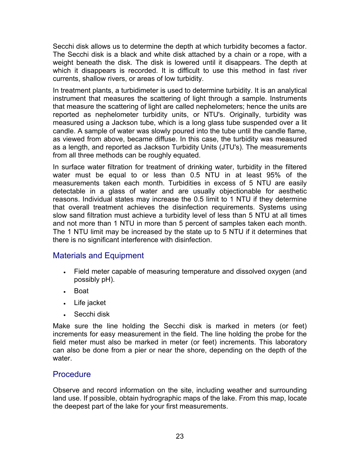Secchi disk allows us to determine the depth at which turbidity becomes a factor. The Secchi disk is a black and white disk attached by a chain or a rope, with a weight beneath the disk. The disk is lowered until it disappears. The depth at which it disappears is recorded. It is difficult to use this method in fast river currents, shallow rivers, or areas of low turbidity.

In treatment plants, a turbidimeter is used to determine turbidity. It is an analytical instrument that measures the scattering of light through a sample. Instruments that measure the scattering of light are called nephelometers; hence the units are reported as nephelometer turbidity units, or NTU's. Originally, turbidity was measured using a Jackson tube, which is a long glass tube suspended over a lit candle. A sample of water was slowly poured into the tube until the candle flame, as viewed from above, became diffuse. In this case, the turbidity was measured as a length, and reported as Jackson Turbidity Units (JTU's). The measurements from all three methods can be roughly equated.

In surface water filtration for treatment of drinking water, turbidity in the filtered water must be equal to or less than 0.5 NTU in at least 95% of the measurements taken each month. Turbidities in excess of 5 NTU are easily detectable in a glass of water and are usually objectionable for aesthetic reasons. Individual states may increase the 0.5 limit to 1 NTU if they determine that overall treatment achieves the disinfection requirements. Systems using slow sand filtration must achieve a turbidity level of less than 5 NTU at all times and not more than 1 NTU in more than 5 percent of samples taken each month. The 1 NTU limit may be increased by the state up to 5 NTU if it determines that there is no significant interference with disinfection.

### Materials and Equipment

- Field meter capable of measuring temperature and dissolved oxygen (and possibly pH).
- Boat
- Life jacket
- Secchi disk

Make sure the line holding the Secchi disk is marked in meters (or feet) increments for easy measurement in the field. The line holding the probe for the field meter must also be marked in meter (or feet) increments. This laboratory can also be done from a pier or near the shore, depending on the depth of the water.

### **Procedure**

Observe and record information on the site, including weather and surrounding land use. If possible, obtain hydrographic maps of the lake. From this map, locate the deepest part of the lake for your first measurements.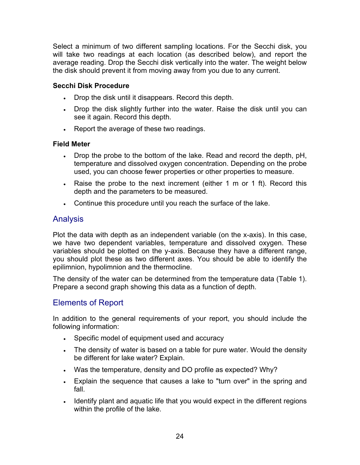Select a minimum of two different sampling locations. For the Secchi disk, you will take two readings at each location (as described below), and report the average reading. Drop the Secchi disk vertically into the water. The weight below the disk should prevent it from moving away from you due to any current.

#### **Secchi Disk Procedure**

- Drop the disk until it disappears. Record this depth.
- Drop the disk slightly further into the water. Raise the disk until you can see it again. Record this depth.
- Report the average of these two readings.

#### **Field Meter**

- Drop the probe to the bottom of the lake. Read and record the depth, pH, temperature and dissolved oxygen concentration. Depending on the probe used, you can choose fewer properties or other properties to measure.
- Raise the probe to the next increment (either 1 m or 1 ft). Record this depth and the parameters to be measured.
- Continue this procedure until you reach the surface of the lake.

# Analysis

Plot the data with depth as an independent variable (on the x-axis). In this case, we have two dependent variables, temperature and dissolved oxygen. These variables should be plotted on the y-axis. Because they have a different range, you should plot these as two different axes. You should be able to identify the epilimnion, hypolimnion and the thermocline.

The density of the water can be determined from the temperature data (Table 1). Prepare a second graph showing this data as a function of depth.

### Elements of Report

In addition to the general requirements of your report, you should include the following information:

- Specific model of equipment used and accuracy
- The density of water is based on a table for pure water. Would the density be different for lake water? Explain.
- Was the temperature, density and DO profile as expected? Why?
- Explain the sequence that causes a lake to "turn over" in the spring and fall.
- Identify plant and aquatic life that you would expect in the different regions within the profile of the lake.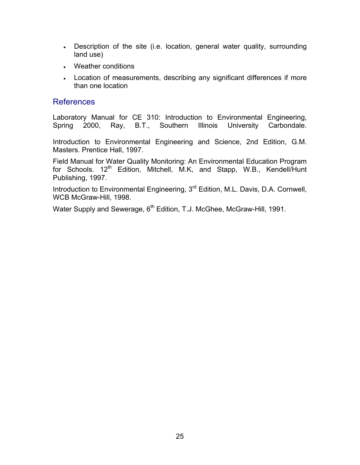- Description of the site (i.e. location, general water quality, surrounding land use)
- Weather conditions
- Location of measurements, describing any significant differences if more than one location

#### References

Laboratory Manual for CE 310: Introduction to Environmental Engineering, Spring 2000, Ray, B.T., Southern Illinois University Carbondale.

Introduction to Environmental Engineering and Science, 2nd Edition, G.M. Masters. Prentice Hall, 1997.

Field Manual for Water Quality Monitoring: An Environmental Education Program for Schools. 12<sup>th</sup> Edition, Mitchell, M.K, and Stapp, W.B., Kendell/Hunt Publishing, 1997.

Introduction to Environmental Engineering, 3<sup>rd</sup> Edition, M.L. Davis, D.A. Cornwell, WCB McGraw-Hill, 1998.

Water Supply and Sewerage, 6<sup>th</sup> Edition, T.J. McGhee, McGraw-Hill, 1991.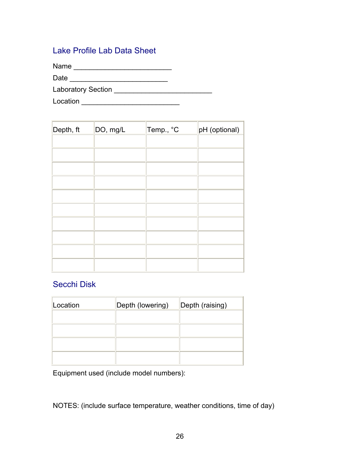### Lake Profile Lab Data Sheet

Name \_\_\_\_\_\_\_\_\_\_\_\_\_\_\_\_\_\_\_\_\_\_\_\_\_

Date \_\_\_\_\_\_\_\_\_\_\_\_\_\_\_\_\_\_\_\_\_\_\_\_\_

Laboratory Section \_\_\_\_\_\_\_\_\_\_\_\_\_\_\_\_\_\_\_\_\_\_\_\_\_

Location \_\_\_\_\_\_\_\_\_\_\_\_\_\_\_\_\_\_\_\_\_\_\_\_\_

| Depth, ft | DO, mg/L | Temp., °C | pH (optional) |
|-----------|----------|-----------|---------------|
|           |          |           |               |
|           |          |           |               |
|           |          |           |               |
|           |          |           |               |
|           |          |           |               |
|           |          |           |               |
|           |          |           |               |
|           |          |           |               |
|           |          |           |               |
|           |          |           |               |

### Secchi Disk

| Location | Depth (lowering) | Depth (raising) |
|----------|------------------|-----------------|
|          |                  |                 |
|          |                  |                 |
|          |                  |                 |
|          |                  |                 |

Equipment used (include model numbers):

NOTES: (include surface temperature, weather conditions, time of day)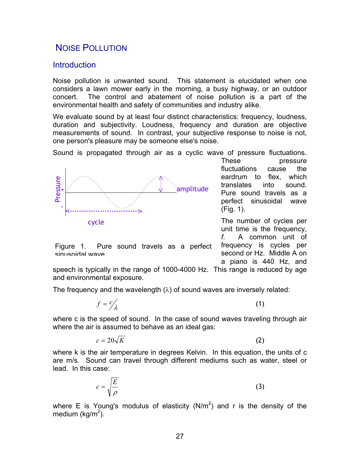# NOISE POLLUTION

#### **Introduction**

Noise pollution is unwanted sound. This statement is elucidated when one considers a lawn mower early in the morning, a busy highway, or an outdoor concert. The control and abatement of noise pollution is a part of the environmental health and safety of communities and industry alike.

We evaluate sound by at least four distinct characteristics: frequency, loudness, duration and subjectivity. Loudness, frequency and duration are objective measurements of sound. In contrast, your subjective response to noise is not, one person's pleasure may be someone else's noise.

Sound is propagated through air as a cyclic wave of pressure fluctuations.



Figure 1. Pure sound travels as a perfect sinusoidal wave

These pressure fluctuations cause the eardrum to flex, which translates into sound. Pure sound travels as a perfect sinusoidal wave (Fig. 1).

The number of cycles per unit time is the frequency, *f*. A common unit of frequency is cycles per second or Hz. Middle A on a piano is 440 Hz, and

speech is typically in the range of 1000-4000 Hz. This range is reduced by age and environmental exposure.

The frequency and the wavelength  $(\lambda)$  of sound waves are inversely related:

$$
f = c'_{\lambda} \tag{1}
$$

where c is the speed of sound. In the case of sound waves traveling through air where the air is assumed to behave as an ideal gas:

$$
c = 20\sqrt{K} \tag{2}
$$

where k is the air temperature in degrees Kelvin. In this equation, the units of c are m/s. Sound can travel through different mediums such as water, steel or lead. In this case:

$$
c = \sqrt{\frac{E}{\rho}}
$$
 (3)

where E is Young's modulus of elasticity (N/m<sup>2</sup>) and r is the density of the medium (kg/m<sup>2</sup>).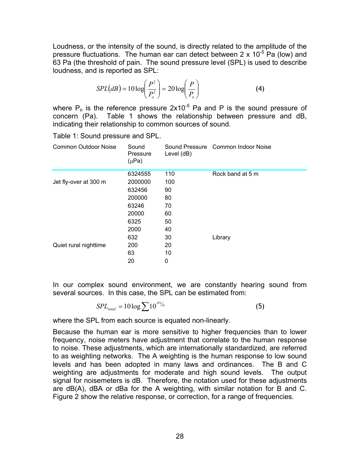Loudness, or the intensity of the sound, is directly related to the amplitude of the pressure fluctuations. The human ear can detect between  $2 \times 10^{-5}$  Pa (low) and 63 Pa (the threshold of pain. The sound pressure level (SPL) is used to describe loudness, and is reported as SPL:

$$
SPL(dB) = 10 \log \left(\frac{P^2}{P_o^2}\right) = 20 \log \left(\frac{P}{P_o}\right)
$$
 (4)

where  $P_0$  is the reference pressure  $2x10^{-5}$  Pa and P is the sound pressure of concern (Pa). Table 1 shows the relationship between pressure and dB, indicating their relationship to common sources of sound.

| Common Outdoor Noise  | Sound<br>Pressure<br>$(\mu Pa)$ | Level (dB) | Sound Pressure Common Indoor Noise |
|-----------------------|---------------------------------|------------|------------------------------------|
|                       | 6324555                         | 110        | Rock band at 5 m                   |
| Jet fly-over at 300 m | 2000000                         | 100        |                                    |
|                       | 632456                          | 90         |                                    |
|                       | 200000                          | 80         |                                    |
|                       | 63246                           | 70         |                                    |
|                       | 20000                           | 60         |                                    |
|                       | 6325                            | 50         |                                    |
|                       | 2000                            | 40         |                                    |
|                       | 632                             | 30         | Library                            |
| Quiet rural nighttime | 200                             | 20         |                                    |
|                       | 63                              | 10         |                                    |
|                       | 20                              | 0          |                                    |

Table 1: Sound pressure and SPL.

In our complex sound environment, we are constantly hearing sound from several sources. In this case, the SPL can be estimated from:

$$
SPL_{total} = 10\log \sum 10^{sPL/6}
$$
 (5)

where the SPL from each source is equated non-linearly.

Because the human ear is more sensitive to higher frequencies than to lower frequency, noise meters have adjustment that correlate to the human response to noise. These adjustments, which are internationally standardized, are referred to as weighting networks. The A weighting is the human response to low sound levels and has been adopted in many laws and ordinances. The B and C weighting are adjustments for moderate and high sound levels. The output signal for noisemeters is dB. Therefore, the notation used for these adjustments are dB(A), dBA or dBa for the A weighting, with similar notation for B and C. Figure 2 show the relative response, or correction, for a range of frequencies.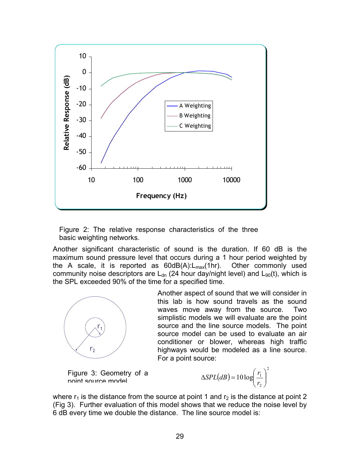

Figure 2: The relative response characteristics of the three basic weighting networks.

Another significant characteristic of sound is the duration. If 60 dB is the maximum sound pressure level that occurs during a 1 hour period weighted by the A scale, it is reported as  $60dB(A).L_{max}(1hr)$ . Other commonly used community noise descriptors are  $L_{dn}$  (24 hour day/night level) and  $L_{90}(t)$ , which is the SPL exceeded 90% of the time for a specified time.



Another aspect of sound that we will consider in this lab is how sound travels as the sound waves move away from the source. Two simplistic models we will evaluate are the point source and the line source models. The point source model can be used to evaluate an air conditioner or blower, whereas high traffic highways would be modeled as a line source. For a point source:

Figure 3: Geometry of a point source model

$$
\Delta SPL(dB) = 10 \log \left( \frac{r_1}{r_2} \right)^2
$$

where  $r_1$  is the distance from the source at point 1 and  $r_2$  is the distance at point 2 (Fig 3). Further evaluation of this model shows that we reduce the noise level by 6 dB every time we double the distance. The line source model is: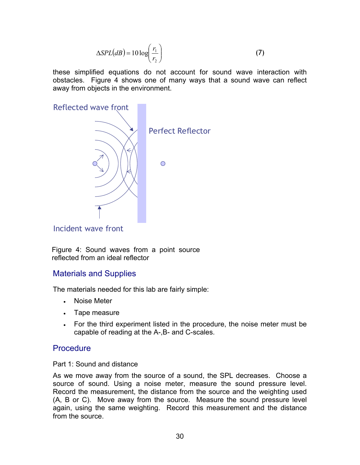$$
\Delta SPL(dB) = 10 \log \left( \frac{r_1}{r_2} \right) \tag{7}
$$

these simplified equations do not account for sound wave interaction with obstacles. Figure 4 shows one of many ways that a sound wave can reflect away from objects in the environment.



Incident wave front

Figure 4: Sound waves from a point source reflected from an ideal reflector

### Materials and Supplies

The materials needed for this lab are fairly simple:

- Noise Meter
- Tape measure
- For the third experiment listed in the procedure, the noise meter must be capable of reading at the A-,B- and C-scales.

### **Procedure**

#### Part 1: Sound and distance

As we move away from the source of a sound, the SPL decreases. Choose a source of sound. Using a noise meter, measure the sound pressure level. Record the measurement, the distance from the source and the weighting used (A, B or C). Move away from the source. Measure the sound pressure level again, using the same weighting. Record this measurement and the distance from the source.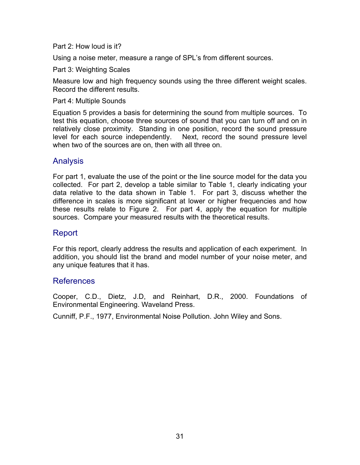Part 2: How loud is it?

Using a noise meter, measure a range of SPL's from different sources.

Part 3: Weighting Scales

Measure low and high frequency sounds using the three different weight scales. Record the different results.

Part 4: Multiple Sounds

Equation 5 provides a basis for determining the sound from multiple sources. To test this equation, choose three sources of sound that you can turn off and on in relatively close proximity. Standing in one position, record the sound pressure level for each source independently. Next, record the sound pressure level when two of the sources are on, then with all three on.

### Analysis

For part 1, evaluate the use of the point or the line source model for the data you collected. For part 2, develop a table similar to Table 1, clearly indicating your data relative to the data shown in Table 1. For part 3, discuss whether the difference in scales is more significant at lower or higher frequencies and how these results relate to Figure 2. For part 4, apply the equation for multiple sources. Compare your measured results with the theoretical results.

### Report

For this report, clearly address the results and application of each experiment. In addition, you should list the brand and model number of your noise meter, and any unique features that it has.

### References

Cooper, C.D., Dietz, J.D, and Reinhart, D.R., 2000. Foundations of Environmental Engineering. Waveland Press.

Cunniff, P.F., 1977, Environmental Noise Pollution. John Wiley and Sons.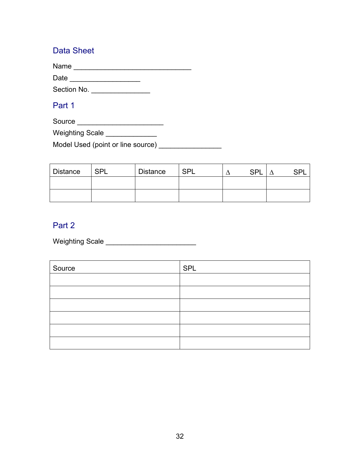### Data Sheet

Name \_\_\_\_\_\_\_\_\_\_\_\_\_\_\_\_\_\_\_\_\_\_\_\_\_\_\_\_\_\_

Date \_\_\_\_\_\_\_\_\_\_\_\_\_\_\_\_\_\_

Section No. \_\_\_\_\_\_\_\_\_\_\_\_\_\_\_\_\_\_\_

# Part 1

Source \_\_\_\_\_\_\_\_\_\_\_\_\_\_\_\_\_\_\_\_\_\_

Weighting Scale \_\_\_\_\_\_\_\_\_\_\_\_\_\_

Model Used (point or line source) \_\_\_\_\_\_\_\_\_\_\_\_\_\_\_\_\_

| Distance | SPL | <b>Distance</b> | <b>SPL</b> | <b>SPL</b> | eni |  |
|----------|-----|-----------------|------------|------------|-----|--|
|          |     |                 |            |            |     |  |
|          |     |                 |            |            |     |  |

# Part 2

Weighting Scale \_\_\_\_\_\_\_\_\_\_\_\_\_\_\_\_\_\_\_\_\_\_\_

| Source | SPL |
|--------|-----|
|        |     |
|        |     |
|        |     |
|        |     |
|        |     |
|        |     |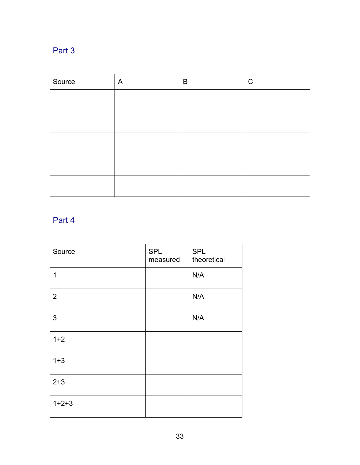# Part 3

| Source | A | B | $\mathsf C$ |
|--------|---|---|-------------|
|        |   |   |             |
|        |   |   |             |
|        |   |   |             |
|        |   |   |             |
|        |   |   |             |

# Part 4

| Source         | <b>SPL</b><br>measured | <b>SPL</b><br>theoretical |
|----------------|------------------------|---------------------------|
| 1              |                        | N/A                       |
| $\overline{2}$ |                        | N/A                       |
| 3              |                        | N/A                       |
| $1+2$          |                        |                           |
| $1 + 3$        |                        |                           |
| $2 + 3$        |                        |                           |
| $1+2+3$        |                        |                           |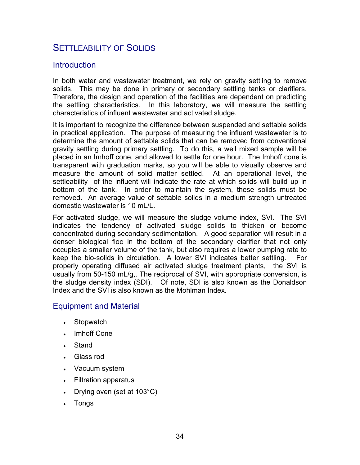# SETTLEABILITY OF SOLIDS

#### **Introduction**

In both water and wastewater treatment, we rely on gravity settling to remove solids. This may be done in primary or secondary settling tanks or clarifiers. Therefore, the design and operation of the facilities are dependent on predicting the settling characteristics. In this laboratory, we will measure the settling characteristics of influent wastewater and activated sludge.

It is important to recognize the difference between suspended and settable solids in practical application. The purpose of measuring the influent wastewater is to determine the amount of settable solids that can be removed from conventional gravity settling during primary settling. To do this, a well mixed sample will be placed in an Imhoff cone, and allowed to settle for one hour. The Imhoff cone is transparent with graduation marks, so you will be able to visually observe and measure the amount of solid matter settled. At an operational level, the settleability of the influent will indicate the rate at which solids will build up in bottom of the tank. In order to maintain the system, these solids must be removed. An average value of settable solids in a medium strength untreated domestic wastewater is 10 mL/L.

For activated sludge, we will measure the sludge volume index, SVI. The SVI indicates the tendency of activated sludge solids to thicken or become concentrated during secondary sedimentation. A good separation will result in a denser biological floc in the bottom of the secondary clarifier that not only occupies a smaller volume of the tank, but also requires a lower pumping rate to keep the bio-solids in circulation. A lower SVI indicates better settling. For properly operating diffused air activated sludge treatment plants, the SVI is usually from 50-150 mL/g,. The reciprocal of SVI, with appropriate conversion, is the sludge density index (SDI). Of note, SDI is also known as the Donaldson Index and the SVI is also known as the Mohlman Index.

### Equipment and Material

- Stopwatch
- Imhoff Cone
- **Stand**
- Glass rod
- Vacuum system
- Filtration apparatus
- Drying oven (set at  $103^{\circ}$ C)
- Tongs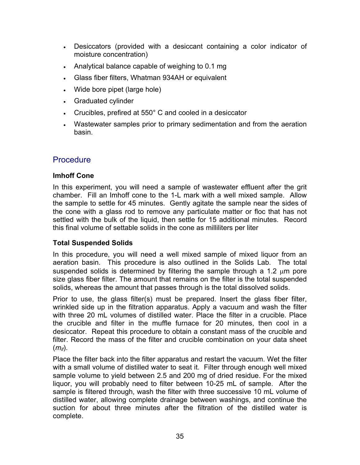- Desiccators (provided with a desiccant containing a color indicator of moisture concentration)
- Analytical balance capable of weighing to 0.1 mg
- Glass fiber filters, Whatman 934AH or equivalent
- Wide bore pipet (large hole)
- Graduated cylinder
- Crucibles, prefired at 550° C and cooled in a desiccator
- Wastewater samples prior to primary sedimentation and from the aeration basin.

### **Procedure**

#### **Imhoff Cone**

In this experiment, you will need a sample of wastewater effluent after the grit chamber. Fill an Imhoff cone to the 1-L mark with a well mixed sample. Allow the sample to settle for 45 minutes. Gently agitate the sample near the sides of the cone with a glass rod to remove any particulate matter or floc that has not settled with the bulk of the liquid, then settle for 15 additional minutes. Record this final volume of settable solids in the cone as milliliters per liter

#### **Total Suspended Solids**

In this procedure, you will need a well mixed sample of mixed liquor from an aeration basin. This procedure is also outlined in the Solids Lab. The total suspended solids is determined by filtering the sample through a 1.2  $\mu$ m pore size glass fiber filter. The amount that remains on the filter is the total suspended solids, whereas the amount that passes through is the total dissolved solids.

Prior to use, the glass filter(s) must be prepared. Insert the glass fiber filter, wrinkled side up in the filtration apparatus. Apply a vacuum and wash the filter with three 20 mL volumes of distilled water. Place the filter in a crucible. Place the crucible and filter in the muffle furnace for 20 minutes, then cool in a desiccator. Repeat this procedure to obtain a constant mass of the crucible and filter. Record the mass of the filter and crucible combination on your data sheet  $(m_{if})$ .

Place the filter back into the filter apparatus and restart the vacuum. Wet the filter with a small volume of distilled water to seat it. Filter through enough well mixed sample volume to yield between 2.5 and 200 mg of dried residue. For the mixed liquor, you will probably need to filter between 10-25 mL of sample. After the sample is filtered through, wash the filter with three successive 10 mL volume of distilled water, allowing complete drainage between washings, and continue the suction for about three minutes after the filtration of the distilled water is complete.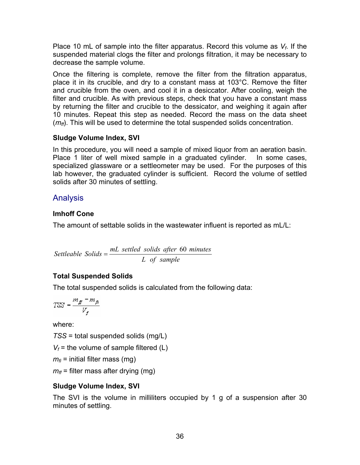Place 10 mL of sample into the filter apparatus. Record this volume as *Vf*. If the suspended material clogs the filter and prolongs filtration, it may be necessary to decrease the sample volume.

Once the filtering is complete, remove the filter from the filtration apparatus, place it in its crucible, and dry to a constant mass at 103°C. Remove the filter and crucible from the oven, and cool it in a desiccator. After cooling, weigh the filter and crucible. As with previous steps, check that you have a constant mass by returning the filter and crucible to the dessicator, and weighing it again after 10 minutes. Repeat this step as needed. Record the mass on the data sheet ( $m<sub>f</sub>$ ). This will be used to determine the total suspended solids concentration.

### **Sludge Volume Index, SVI**

In this procedure, you will need a sample of mixed liquor from an aeration basin. Place 1 liter of well mixed sample in a graduated cylinder. In some cases, specialized glassware or a settleometer may be used. For the purposes of this lab however, the graduated cylinder is sufficient. Record the volume of settled solids after 30 minutes of settling.

# Analysis

### **Imhoff Cone**

The amount of settable solids in the wastewater influent is reported as mL/L:

*L of sample Settleable Solids* =  $\frac{mL \text{ settled solids}}{mL}$  *after* 60 *minutes* 

# **Total Suspended Solids**

The total suspended solids is calculated from the following data:

$$
TSS = \frac{m_{\tilde{g}} - m_{\tilde{g}}}{V_f}
$$

where:

*TSS* = total suspended solids (mg/L)

 $V_f$  = the volume of sample filtered (L)

 $m_{fi}$  = initial filter mass (mg)

 $m_f$  = filter mass after drying (mg)

### **Sludge Volume Index, SVI**

The SVI is the volume in milliliters occupied by 1 g of a suspension after 30 minutes of settling.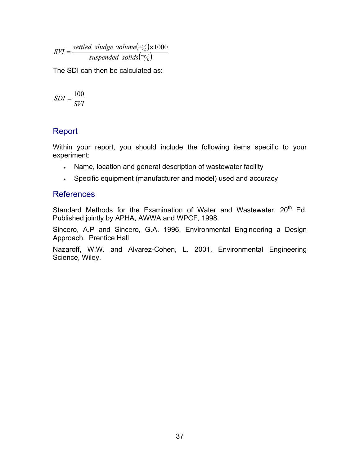$\left(\begin{smallmatrix} mL \end{smallmatrix} \right)$  $\binom{mg}{L}$ *L mL suspended solids*  $SVI = \frac{settled \ sludge \ volume(\frac{m_l}{L}) \times 1000}{V1 + V1 \cdot \frac{m_l}{L}}$ 

The SDI can then be calculated as:

$$
SDI = \frac{100}{SVI}
$$

### Report

Within your report, you should include the following items specific to your experiment:

- Name, location and general description of wastewater facility
- Specific equipment (manufacturer and model) used and accuracy

### References

Standard Methods for the Examination of Water and Wastewater, 20<sup>th</sup> Ed. Published jointly by APHA, AWWA and WPCF, 1998.

Sincero, A.P and Sincero, G.A. 1996. Environmental Engineering a Design Approach. Prentice Hall

Nazaroff, W.W. and Alvarez-Cohen, L. 2001, Environmental Engineering Science, Wiley.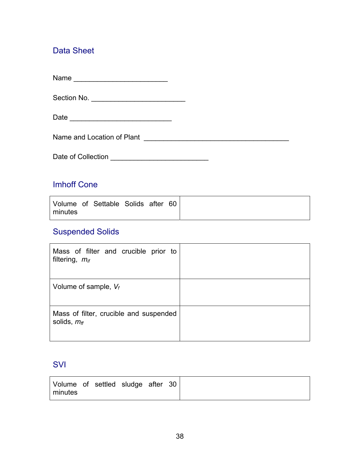# Data Sheet

Name \_\_\_\_\_\_\_\_\_\_\_\_\_\_\_\_\_\_\_\_\_\_\_\_

Section No. \_\_\_\_\_\_\_\_\_\_\_\_\_\_\_\_\_\_\_\_\_\_\_\_

Date \_\_\_\_\_\_\_\_\_\_\_\_\_\_\_\_\_\_\_\_\_\_\_\_\_\_

Name and Location of Plant \_\_\_\_\_\_\_\_\_\_\_\_\_\_\_\_\_\_\_\_\_\_\_\_\_\_\_\_\_\_\_\_\_\_\_\_\_

Date of Collection \_\_\_\_\_\_\_\_\_\_\_\_\_\_\_\_\_\_\_\_\_\_\_\_\_

### Imhoff Cone

|         | Volume of Settable Solids after 60 |  |  |
|---------|------------------------------------|--|--|
| minutes |                                    |  |  |

### Suspended Solids

| Mass of filter and crucible prior to<br>filtering, $m_{if}$ |  |
|-------------------------------------------------------------|--|
| Volume of sample, $V_f$                                     |  |
| Mass of filter, crucible and suspended<br>solids, $m_{ff}$  |  |

### **SVI**

| Volume of settled sludge after 30 |
|-----------------------------------|
| minutes                           |
|                                   |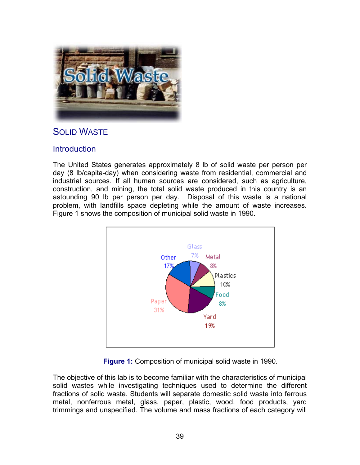

# SOLID WASTE

### **Introduction**

The United States generates approximately 8 lb of solid waste per person per day (8 lb/capita-day) when considering waste from residential, commercial and industrial sources. If all human sources are considered, such as agriculture, construction, and mining, the total solid waste produced in this country is an astounding 90 lb per person per day. Disposal of this waste is a national problem, with landfills space depleting while the amount of waste increases. Figure 1 shows the composition of municipal solid waste in 1990.



**Figure 1:** Composition of municipal solid waste in 1990.

The objective of this lab is to become familiar with the characteristics of municipal solid wastes while investigating techniques used to determine the different fractions of solid waste. Students will separate domestic solid waste into ferrous metal, nonferrous metal, glass, paper, plastic, wood, food products, yard trimmings and unspecified. The volume and mass fractions of each category will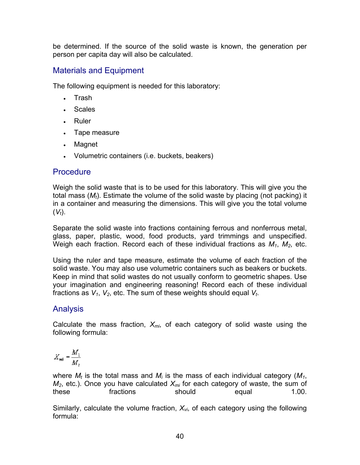be determined. If the source of the solid waste is known, the generation per person per capita day will also be calculated.

# Materials and Equipment

The following equipment is needed for this laboratory:

- Trash
- Scales
- Ruler
- Tape measure
- Magnet
- Volumetric containers (i.e. buckets, beakers)

# **Procedure**

Weigh the solid waste that is to be used for this laboratory. This will give you the total mass (*Mt*). Estimate the volume of the solid waste by placing (not packing) it in a container and measuring the dimensions. This will give you the total volume  $(V_t)$ .

Separate the solid waste into fractions containing ferrous and nonferrous metal, glass, paper, plastic, wood, food products, yard trimmings and unspecified. Weigh each fraction. Record each of these individual fractions as *M1*, *M2*, etc.

Using the ruler and tape measure, estimate the volume of each fraction of the solid waste. You may also use volumetric containers such as beakers or buckets. Keep in mind that solid wastes do not usually conform to geometric shapes. Use your imagination and engineering reasoning! Record each of these individual fractions as  $V_1$ ,  $V_2$ , etc. The sum of these weights should equal  $V_t$ .

# Analysis

Calculate the mass fraction,  $X_{mi}$ , of each category of solid waste using the following formula:

$$
X_{mi} = \frac{M_1}{M_2}
$$

where  $M_t$  is the total mass and  $M_i$  is the mass of each individual category ( $M_1$ ,  $M_2$ , etc.). Once you have calculated  $X_{mi}$  for each category of waste, the sum of these fractions should equal 1.00.

Similarly, calculate the volume fraction,  $X_{vi}$ , of each category using the following formula: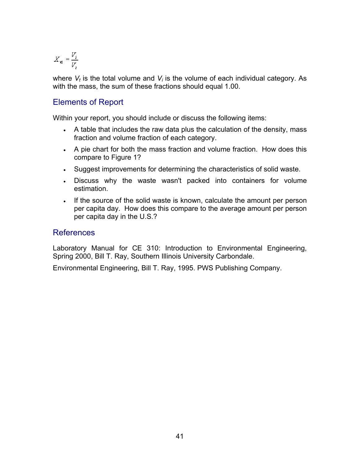$$
X_{\mathbf{vi}} = \frac{V_i}{V_t}
$$

where  $V_t$  is the total volume and  $V_i$  is the volume of each individual category. As with the mass, the sum of these fractions should equal 1.00.

#### Elements of Report

Within your report, you should include or discuss the following items:

- A table that includes the raw data plus the calculation of the density, mass fraction and volume fraction of each category.
- A pie chart for both the mass fraction and volume fraction. How does this compare to Figure 1?
- Suggest improvements for determining the characteristics of solid waste.
- Discuss why the waste wasn't packed into containers for volume estimation.
- If the source of the solid waste is known, calculate the amount per person per capita day. How does this compare to the average amount per person per capita day in the U.S.?

#### References

Laboratory Manual for CE 310: Introduction to Environmental Engineering, Spring 2000, Bill T. Ray, Southern Illinois University Carbondale.

Environmental Engineering, Bill T. Ray, 1995. PWS Publishing Company.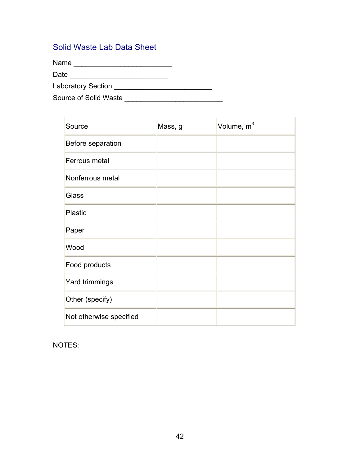### Solid Waste Lab Data Sheet

Name \_\_\_\_\_\_\_\_\_\_\_\_\_\_\_\_\_\_\_\_\_\_\_\_\_

Date \_\_\_\_\_\_\_\_\_\_\_\_\_\_\_\_\_\_\_\_\_\_\_\_\_

Laboratory Section \_\_\_\_\_\_\_\_\_\_\_\_\_\_\_\_\_\_\_\_\_\_\_\_\_

Source of Solid Waste \_\_\_\_\_\_\_\_\_\_\_\_\_\_\_\_\_\_\_\_\_\_\_\_\_

| Source                  | Mass, g | Volume, m <sup>3</sup> |
|-------------------------|---------|------------------------|
| Before separation       |         |                        |
| Ferrous metal           |         |                        |
| Nonferrous metal        |         |                        |
| <b>Glass</b>            |         |                        |
| Plastic                 |         |                        |
| Paper                   |         |                        |
| Wood                    |         |                        |
| Food products           |         |                        |
| Yard trimmings          |         |                        |
| Other (specify)         |         |                        |
| Not otherwise specified |         |                        |

NOTES: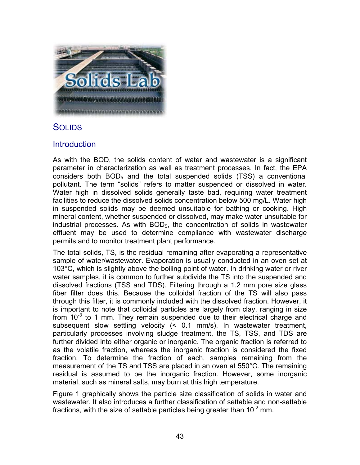

# **SOLIDS**

### **Introduction**

As with the BOD, the solids content of water and wastewater is a significant parameter in characterization as well as treatment processes. In fact, the EPA considers both  $BOD<sub>5</sub>$  and the total suspended solids (TSS) a conventional pollutant. The term "solids" refers to matter suspended or dissolved in water. Water high in dissolved solids generally taste bad, requiring water treatment facilities to reduce the dissolved solids concentration below 500 mg/L. Water high in suspended solids may be deemed unsuitable for bathing or cooking. High mineral content, whether suspended or dissolved, may make water unsuitable for industrial processes. As with  $BOD<sub>5</sub>$ , the concentration of solids in wastewater effluent may be used to determine compliance with wastewater discharge permits and to monitor treatment plant performance.

The total solids, TS, is the residual remaining after evaporating a representative sample of water/wastewater. Evaporation is usually conducted in an oven set at 103°C, which is slightly above the boiling point of water. In drinking water or river water samples, it is common to further subdivide the TS into the suspended and dissolved fractions (TSS and TDS). Filtering through a 1.2 mm pore size glass fiber filter does this. Because the colloidal fraction of the TS will also pass through this filter, it is commonly included with the dissolved fraction. However, it is important to note that colloidal particles are largely from clay, ranging in size from  $10^{-3}$  to 1 mm. They remain suspended due to their electrical charge and subsequent slow settling velocity (< 0.1 mm/s). In wastewater treatment, particularly processes involving sludge treatment, the TS, TSS, and TDS are further divided into either organic or inorganic. The organic fraction is referred to as the volatile fraction, whereas the inorganic fraction is considered the fixed fraction. To determine the fraction of each, samples remaining from the measurement of the TS and TSS are placed in an oven at 550°C. The remaining residual is assumed to be the inorganic fraction. However, some inorganic material, such as mineral salts, may burn at this high temperature.

Figure 1 graphically shows the particle size classification of solids in water and wastewater. It also introduces a further classification of settable and non-settable fractions, with the size of settable particles being greater than  $10^{-2}$  mm.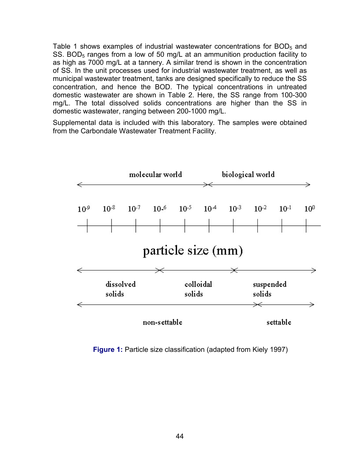Table 1 shows examples of industrial wastewater concentrations for  $BOD<sub>5</sub>$  and SS. BOD<sub>5</sub> ranges from a low of 50 mg/L at an ammunition production facility to as high as 7000 mg/L at a tannery. A similar trend is shown in the concentration of SS. In the unit processes used for industrial wastewater treatment, as well as municipal wastewater treatment, tanks are designed specifically to reduce the SS concentration, and hence the BOD. The typical concentrations in untreated domestic wastewater are shown in Table 2. Here, the SS range from 100-300 mg/L. The total dissolved solids concentrations are higher than the SS in domestic wastewater, ranging between 200-1000 mg/L.

Supplemental data is included with this laboratory. The samples were obtained from the Carbondale Wastewater Treatment Facility.



**Figure 1:** Particle size classification (adapted from Kiely 1997)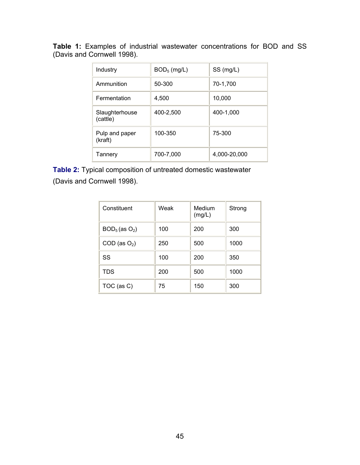| Industry                   | $BOD5$ (mg/L) | SS (mg/L)    |
|----------------------------|---------------|--------------|
| Ammunition                 | 50-300        | 70-1,700     |
| Fermentation               | 4.500         | 10,000       |
| Slaughterhouse<br>(cattle) | 400-2,500     | 400-1,000    |
| Pulp and paper<br>(kraft)  | 100-350       | 75-300       |
| Tannery                    | 700-7,000     | 4,000-20,000 |

**Table 1:** Examples of industrial wastewater concentrations for BOD and SS (Davis and Cornwell 1998).

**Table 2:** Typical composition of untreated domestic wastewater (Davis and Cornwell 1998).

| Constituent         | Weak | Medium<br>(mg/L) | Strong |
|---------------------|------|------------------|--------|
| $BOD_5$ (as $O_2$ ) | 100  | 200              | 300    |
| $COD$ (as $O2$ )    | 250  | 500              | 1000   |
| SS                  | 100  | 200              | 350    |
| <b>TDS</b>          | 200  | 500              | 1000   |
| TOC (as C)          | 75   | 150              | 300    |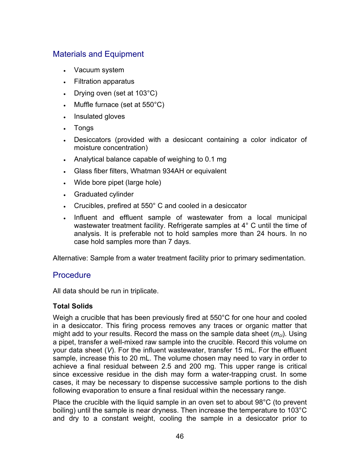### Materials and Equipment

- Vacuum system
- Filtration apparatus
- Drying oven (set at 103°C)
- Muffle furnace (set at 550°C)
- Insulated gloves
- Tongs
- Desiccators (provided with a desiccant containing a color indicator of moisture concentration)
- Analytical balance capable of weighing to 0.1 mg
- Glass fiber filters, Whatman 934AH or equivalent
- Wide bore pipet (large hole)
- Graduated cylinder
- Crucibles, prefired at 550° C and cooled in a desiccator
- Influent and effluent sample of wastewater from a local municipal wastewater treatment facility. Refrigerate samples at 4° C until the time of analysis. It is preferable not to hold samples more than 24 hours. In no case hold samples more than 7 days.

Alternative: Sample from a water treatment facility prior to primary sedimentation.

#### **Procedure**

All data should be run in triplicate.

#### **Total Solids**

Weigh a crucible that has been previously fired at 550°C for one hour and cooled in a desiccator. This firing process removes any traces or organic matter that might add to your results. Record the mass on the sample data sheet ( $m_{ci}$ ). Using a pipet, transfer a well-mixed raw sample into the crucible. Record this volume on your data sheet (*V*). For the influent wastewater, transfer 15 mL. For the effluent sample, increase this to 20 mL. The volume chosen may need to vary in order to achieve a final residual between 2.5 and 200 mg. This upper range is critical since excessive residue in the dish may form a water-trapping crust. In some cases, it may be necessary to dispense successive sample portions to the dish following evaporation to ensure a final residual within the necessary range.

Place the crucible with the liquid sample in an oven set to about 98°C (to prevent boiling) until the sample is near dryness. Then increase the temperature to 103°C and dry to a constant weight, cooling the sample in a desiccator prior to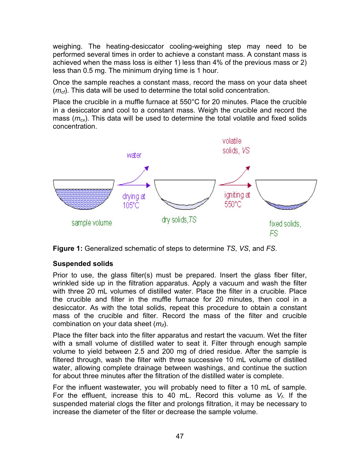weighing. The heating-desiccator cooling-weighing step may need to be performed several times in order to achieve a constant mass. A constant mass is achieved when the mass loss is either 1) less than 4% of the previous mass or 2) less than 0.5 mg. The minimum drying time is 1 hour.

Once the sample reaches a constant mass, record the mass on your data sheet (*m<sub>cf</sub>*). This data will be used to determine the total solid concentration.

Place the crucible in a muffle furnace at 550°C for 20 minutes. Place the crucible in a desiccator and cool to a constant mass. Weigh the crucible and record the mass (*mcx*). This data will be used to determine the total volatile and fixed solids concentration.





#### **Suspended solids**

Prior to use, the glass filter(s) must be prepared. Insert the glass fiber filter, wrinkled side up in the filtration apparatus. Apply a vacuum and wash the filter with three 20 mL volumes of distilled water. Place the filter in a crucible. Place the crucible and filter in the muffle furnace for 20 minutes, then cool in a desiccator. As with the total solids, repeat this procedure to obtain a constant mass of the crucible and filter. Record the mass of the filter and crucible combination on your data sheet (*mif*).

Place the filter back into the filter apparatus and restart the vacuum. Wet the filter with a small volume of distilled water to seat it. Filter through enough sample volume to yield between 2.5 and 200 mg of dried residue. After the sample is filtered through, wash the filter with three successive 10 mL volume of distilled water, allowing complete drainage between washings, and continue the suction for about three minutes after the filtration of the distilled water is complete.

For the influent wastewater, you will probably need to filter a 10 mL of sample. For the effluent, increase this to 40 mL. Record this volume as *Vf*. If the suspended material clogs the filter and prolongs filtration, it may be necessary to increase the diameter of the filter or decrease the sample volume.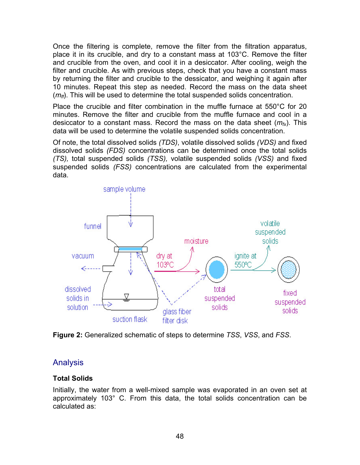Once the filtering is complete, remove the filter from the filtration apparatus, place it in its crucible, and dry to a constant mass at 103°C. Remove the filter and crucible from the oven, and cool it in a desiccator. After cooling, weigh the filter and crucible. As with previous steps, check that you have a constant mass by returning the filter and crucible to the dessicator, and weighing it again after 10 minutes. Repeat this step as needed. Record the mass on the data sheet ( $m<sub>f</sub>$ ). This will be used to determine the total suspended solids concentration.

Place the crucible and filter combination in the muffle furnace at 550°C for 20 minutes. Remove the filter and crucible from the muffle furnace and cool in a desiccator to a constant mass. Record the mass on the data sheet  $(m<sub>fx</sub>)$ . This data will be used to determine the volatile suspended solids concentration.

Of note, the total dissolved solids *(TDS)*, volatile dissolved solids *(VDS)* and fixed dissolved solids *(FDS)* concentrations can be determined once the total solids *(TS),* total suspended solids *(TSS),* volatile suspended solids *(VSS)* and fixed suspended solids *(FSS)* concentrations are calculated from the experimental data.





### Analysis

#### **Total Solids**

Initially, the water from a well-mixed sample was evaporated in an oven set at approximately 103° C. From this data, the total solids concentration can be calculated as: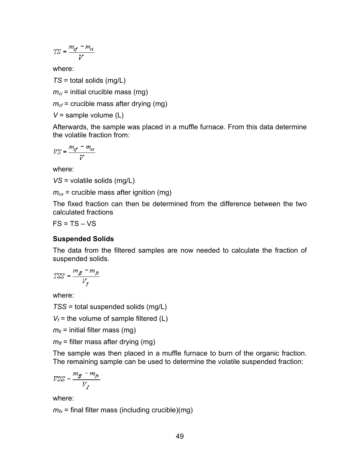$$
T\mathbf{S} = \frac{m_d - m_d}{V}
$$

where:

*TS* = total solids (mg/L)

 $m_{ci}$  = initial crucible mass (mg)

 $m_{cf}$  = crucible mass after drying (mg)

*V* = sample volume (L)

Afterwards, the sample was placed in a muffle furnace. From this data determine the volatile fraction from:

$$
V S = \frac{m_d - m_\alpha}{V}
$$

where:

*VS* = volatile solids (mg/L)

 $m_{cx}$  = crucible mass after ignition (mg)

The fixed fraction can then be determined from the difference between the two calculated fractions

 $FS = TS - VS$ 

#### **Suspended Solids**

The data from the filtered samples are now needed to calculate the fraction of suspended solids.

$$
TSS = \frac{m_{\tilde{\pi}} - m_{\tilde{\pi}}}{V_f}
$$

where:

*TSS* = total suspended solids (mg/L)

 $V_f$  = the volume of sample filtered (L)

 $m<sub>f</sub>$  = initial filter mass (mg)

 $m_f$  = filter mass after drying (mg)

The sample was then placed in a muffle furnace to burn of the organic fraction. The remaining sample can be used to determine the volatile suspended fraction:

$$
VSS = \frac{m_{\tilde{g}} - m_{\tilde{g}}}{V_f}
$$

where:

 $m<sub>fx</sub>$  = final filter mass (including crucible)(mg)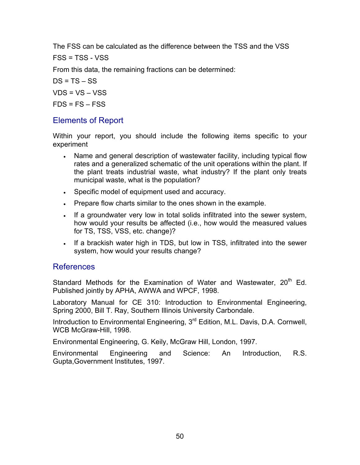The FSS can be calculated as the difference between the TSS and the VSS

FSS = TSS - VSS

From this data, the remaining fractions can be determined:

 $DS = TS - SS$  $VDS = VS - VSS$  $FDS = FS - FSS$ 

### Elements of Report

Within your report, you should include the following items specific to your experiment

- Name and general description of wastewater facility, including typical flow rates and a generalized schematic of the unit operations within the plant. If the plant treats industrial waste, what industry? If the plant only treats municipal waste, what is the population?
- Specific model of equipment used and accuracy.
- Prepare flow charts similar to the ones shown in the example.
- If a groundwater very low in total solids infiltrated into the sewer system, how would your results be affected (i.e., how would the measured values for TS, TSS, VSS, etc. change)?
- If a brackish water high in TDS, but low in TSS, infiltrated into the sewer system, how would your results change?

#### References

Standard Methods for the Examination of Water and Wastewater,  $20<sup>th</sup>$  Ed. Published jointly by APHA, AWWA and WPCF, 1998.

Laboratory Manual for CE 310: Introduction to Environmental Engineering, Spring 2000, Bill T. Ray, Southern Illinois University Carbondale.

Introduction to Environmental Engineering, 3rd Edition, M.L. Davis, D.A. Cornwell, WCB McGraw-Hill, 1998.

Environmental Engineering, G. Keily, McGraw Hill, London, 1997.

Environmental Engineering and Science: An Introduction, R.S. Gupta,Government Institutes, 1997.